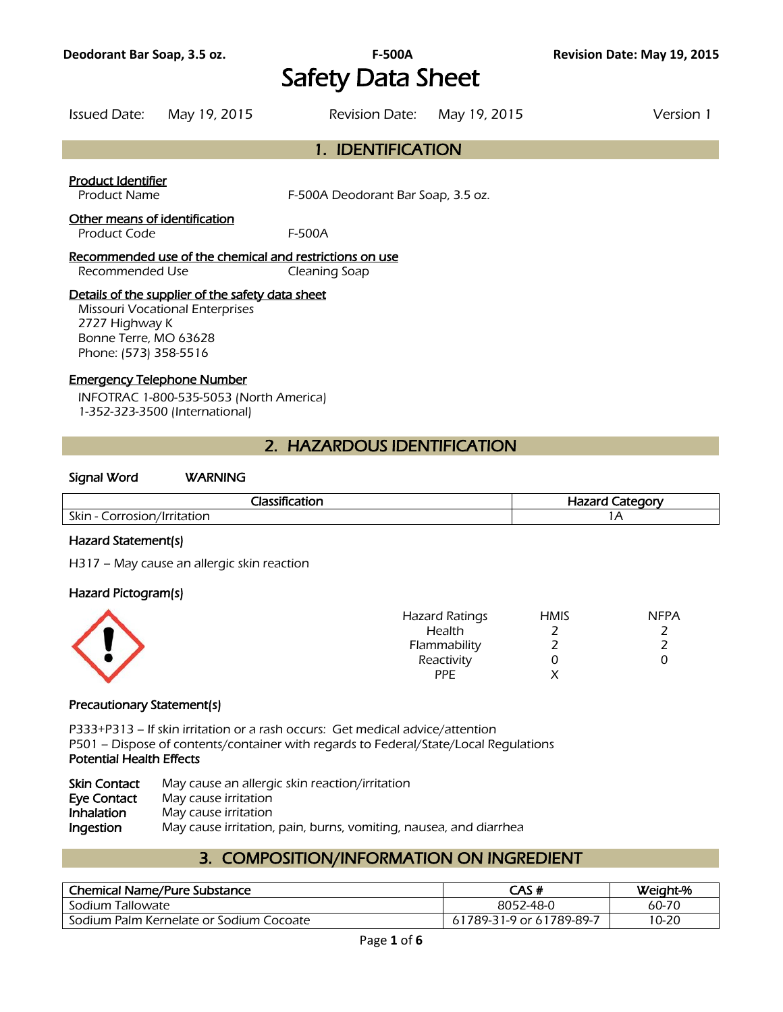# **Deodorant Bar Soap, 3.5 oz. F-500A Revision Date: May 19, 2015** Safety Data Sheet

Issued Date: May 19, 2015 Revision Date: May 19, 2015 Version 1

### 1. IDENTIFICATION

### Product Identifier

Product Name F-500A Deodorant Bar Soap, 3.5 oz.

### Other means of identification

Product Code F-500A

#### Recommended use of the chemical and restrictions on use Recommended Use Cleaning Soap

### Details of the supplier of the safety data sheet

Missouri Vocational Enterprises 2727 Highway K Bonne Terre, MO 63628 Phone: (573) 358-5516

### Emergency Telephone Number

INFOTRAC 1-800-535-5053 (North America) 1-352-323-3500 (International)

### 2. HAZARDOUS IDENTIFICATION

#### Signal Word WARNING

| .<br>-ld                                                         | Hazarc<br><b>חממי</b><br>- |
|------------------------------------------------------------------|----------------------------|
| Skin -<br>$\frac{1}{2}$<br>. /   www. + - - - - - -<br>าrr<br>OH | $\sqrt{ }$                 |
|                                                                  |                            |

### Hazard Statement(s)

H317 – May cause an allergic skin reaction

#### Hazard Pictogram(s)

|           | <b>Hazard Ratings</b> | <b>HMIS</b> | <b>NFPA</b> |
|-----------|-----------------------|-------------|-------------|
| $\bullet$ | Health                |             |             |
|           | Flammability          |             |             |
|           | Reactivity            |             |             |
|           | <b>PPE</b>            |             |             |
|           |                       |             |             |

#### Precautionary Statement(s)

P333+P313 – If skin irritation or a rash occurs: Get medical advice/attention P501 – Dispose of contents/container with regards to Federal/State/Local Regulations Potential Health Effects

| May cause an allergic skin reaction/irritation                    |
|-------------------------------------------------------------------|
| May cause irritation                                              |
| May cause irritation                                              |
| May cause irritation, pain, burns, vomiting, nausea, and diarrhea |
|                                                                   |

# 3. COMPOSITION/INFORMATION ON INGREDIENT

| <b>Chemical Name/Pure Substance</b>     | CAS #                    | Weight-% |
|-----------------------------------------|--------------------------|----------|
| Sodium Tallowate                        | 8052-48-0                | 60-70    |
| Sodium Palm Kernelate or Sodium Cocoate | 61789-31-9 or 61789-89-7 | 10-20    |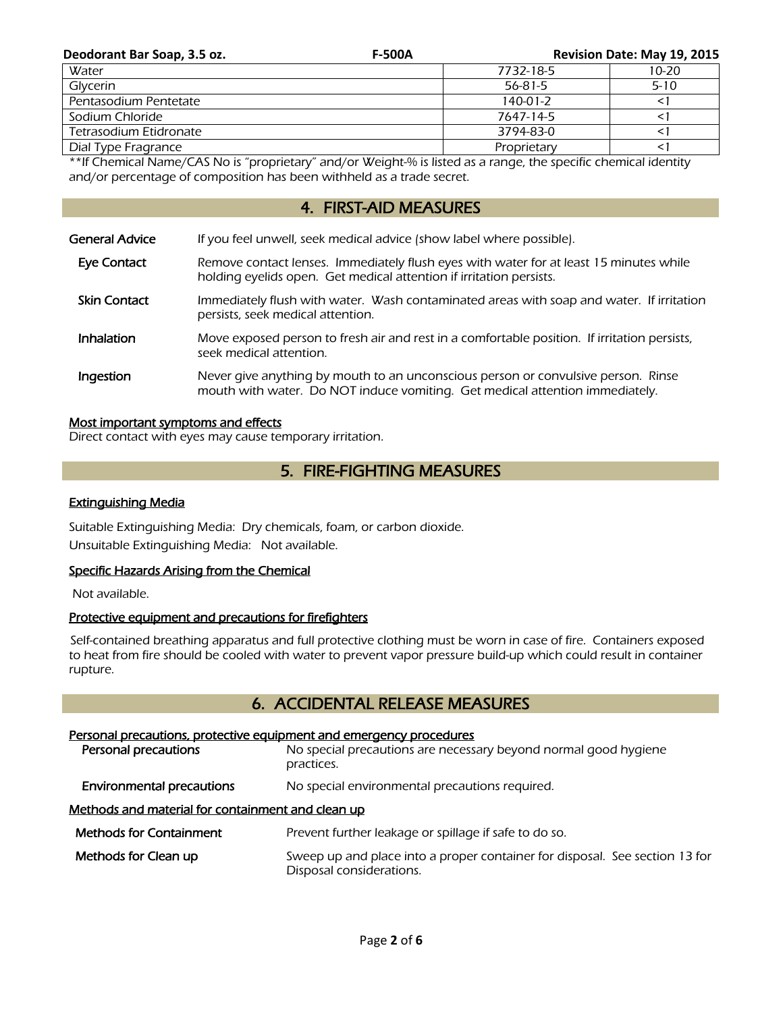| Deodorant Bar Soap, 3.5 oz.<br><b>F-500A</b> |  | Revision Date: May 19, 2015 |           |
|----------------------------------------------|--|-----------------------------|-----------|
| Water                                        |  | 7732-18-5                   | $10 - 20$ |
| Glycerin                                     |  | $56 - 81 - 5$               | $5 - 10$  |
| Pentasodium Pentetate                        |  | $140-01-2$                  |           |
| Sodium Chloride                              |  | 7647-14-5                   | $\leq$    |
| Tetrasodium Etidronate                       |  | 3794-83-0                   |           |
| Dial Type Fragrance                          |  | Proprietary                 |           |

\*\*If Chemical Name/CAS No is "proprietary" and/or Weight-% is listed as a range, the specific chemical identity and/or percentage of composition has been withheld as a trade secret.

# 4. FIRST-AID MEASURES

| General Advice      | If you feel unwell, seek medical advice (show label where possible).                                                                                              |
|---------------------|-------------------------------------------------------------------------------------------------------------------------------------------------------------------|
| Eye Contact         | Remove contact lenses. Immediately flush eyes with water for at least 15 minutes while<br>holding eyelids open. Get medical attention if irritation persists.     |
| <b>Skin Contact</b> | Immediately flush with water. Wash contaminated areas with soap and water. If irritation<br>persists, seek medical attention.                                     |
| <b>Inhalation</b>   | Move exposed person to fresh air and rest in a comfortable position. If irritation persists,<br>seek medical attention.                                           |
| Ingestion           | Never give anything by mouth to an unconscious person or convulsive person. Rinse<br>mouth with water. Do NOT induce vomiting. Get medical attention immediately. |

### Most important symptoms and effects

Direct contact with eyes may cause temporary irritation.

# 5. FIRE-FIGHTING MEASURES

### Extinguishing Media

Suitable Extinguishing Media: Dry chemicals, foam, or carbon dioxide. Unsuitable Extinguishing Media: Not available.

### Specific Hazards Arising from the Chemical

Not available.

### Protective equipment and precautions for firefighters

 Self-contained breathing apparatus and full protective clothing must be worn in case of fire. Containers exposed to heat from fire should be cooled with water to prevent vapor pressure build-up which could result in container rupture.

### 6. ACCIDENTAL RELEASE MEASURES

# Personal precautions, protective equipment and emergency procedures **Personal precautions** No special precautions are necessary beyond normal good hygiene practices. **Environmental precautions** No special environmental precautions required. Methods and material for containment and clean up Methods for Containment Prevent further leakage or spillage if safe to do so. Methods for Clean up Sweep up and place into a proper container for disposal. See section 13 for Disposal considerations.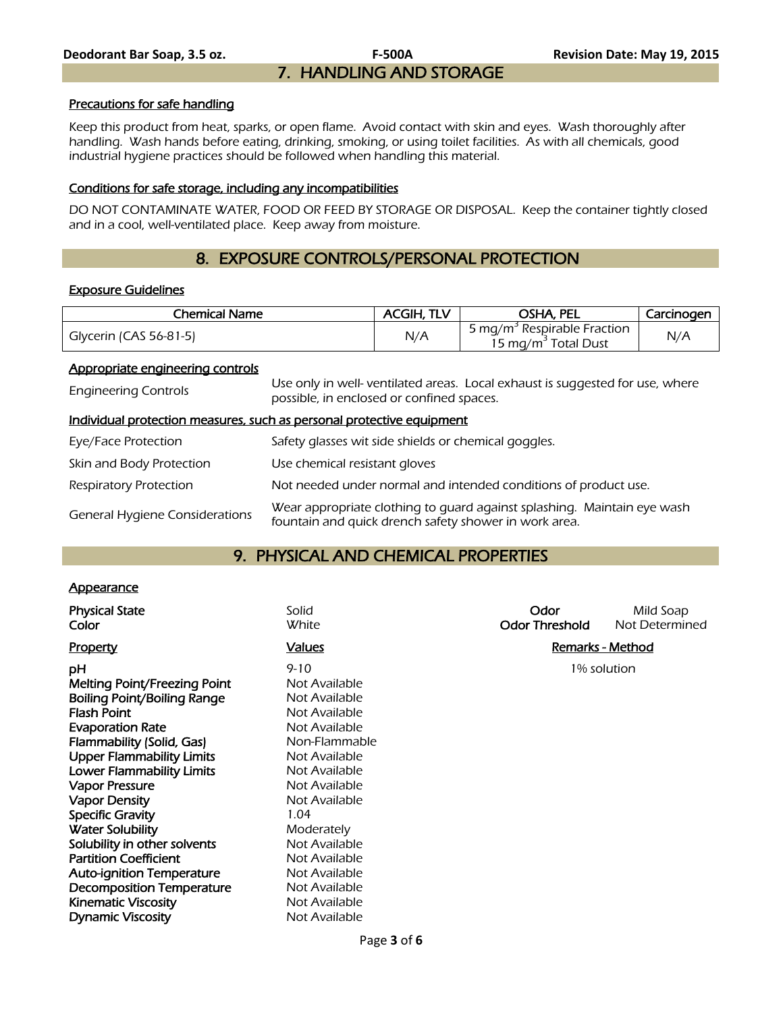#### Precautions for safe handling

Keep this product from heat, sparks, or open flame. Avoid contact with skin and eyes. Wash thoroughly after handling. Wash hands before eating, drinking, smoking, or using toilet facilities. As with all chemicals, good industrial hygiene practices should be followed when handling this material.

#### Conditions for safe storage, including any incompatibilities

DO NOT CONTAMINATE WATER, FOOD OR FEED BY STORAGE OR DISPOSAL. Keep the container tightly closed and in a cool, well-ventilated place. Keep away from moisture.

# 8. EXPOSURE CONTROLS/PERSONAL PROTECTION

### Exposure Guidelines

| Chemical Name          | <b>ACGIH, TLV</b> | OSHA, PEL                                                                  | Carcinogen |
|------------------------|-------------------|----------------------------------------------------------------------------|------------|
| Glycerin (CAS 56-81-5) | N/A               | 5 mg/m <sup>3</sup> Respirable Fraction<br>15 mg/m <sup>2</sup> Total Dust | N/A        |

#### Appropriate engineering controls

| <b>Engineering Controls</b>           | Use only in well- ventilated areas. Local exhaust is suggested for use, where<br>possible, in enclosed or confined spaces.       |
|---------------------------------------|----------------------------------------------------------------------------------------------------------------------------------|
|                                       | Individual protection measures, such as personal protective equipment                                                            |
| Eye/Face Protection                   | Safety glasses wit side shields or chemical goggles.                                                                             |
| Skin and Body Protection              | Use chemical resistant gloves                                                                                                    |
| <b>Respiratory Protection</b>         | Not needed under normal and intended conditions of product use.                                                                  |
| <b>General Hygiene Considerations</b> | Wear appropriate clothing to guard against splashing. Maintain eye wash<br>fountain and quick drench safety shower in work area. |

### 9. PHYSICAL AND CHEMICAL PROPERTIES

### **Appearance**

| <b>Physical State</b><br>Color                                                                                                                                                                                                                                                                                                        | Solid<br>White                                                                                                                                                                          | Odor<br><b>Odor Threshold</b> | Mild Soap<br>Not Determined |
|---------------------------------------------------------------------------------------------------------------------------------------------------------------------------------------------------------------------------------------------------------------------------------------------------------------------------------------|-----------------------------------------------------------------------------------------------------------------------------------------------------------------------------------------|-------------------------------|-----------------------------|
| <b>Property</b>                                                                                                                                                                                                                                                                                                                       | <b>Values</b>                                                                                                                                                                           | <b>Remarks - Method</b>       |                             |
| рH<br><b>Melting Point/Freezing Point</b><br>Boiling Point/Boiling Range<br><b>Flash Point</b><br><b>Evaporation Rate</b><br>Flammability (Solid, Gas)<br><b>Upper Flammability Limits</b><br><b>Lower Flammability Limits</b><br><b>Vapor Pressure</b><br><b>Vapor Density</b><br><b>Specific Gravity</b><br><b>Water Solubility</b> | $9 - 10$<br>Not Available<br>Not Available<br>Not Available<br>Not Available<br>Non-Flammable<br>Not Available<br>Not Available<br>Not Available<br>Not Available<br>1.04<br>Moderately | 1% solution                   |                             |
| Solubility in other solvents                                                                                                                                                                                                                                                                                                          | Not Available                                                                                                                                                                           |                               |                             |
| <b>Partition Coefficient</b>                                                                                                                                                                                                                                                                                                          | Not Available                                                                                                                                                                           |                               |                             |
| <b>Auto-ignition Temperature</b>                                                                                                                                                                                                                                                                                                      | Not Available                                                                                                                                                                           |                               |                             |
| <b>Decomposition Temperature</b>                                                                                                                                                                                                                                                                                                      | Not Available                                                                                                                                                                           |                               |                             |
| <b>Kinematic Viscosity</b>                                                                                                                                                                                                                                                                                                            | Not Available                                                                                                                                                                           |                               |                             |
| <b>Dynamic Viscosity</b>                                                                                                                                                                                                                                                                                                              | Not Available                                                                                                                                                                           |                               |                             |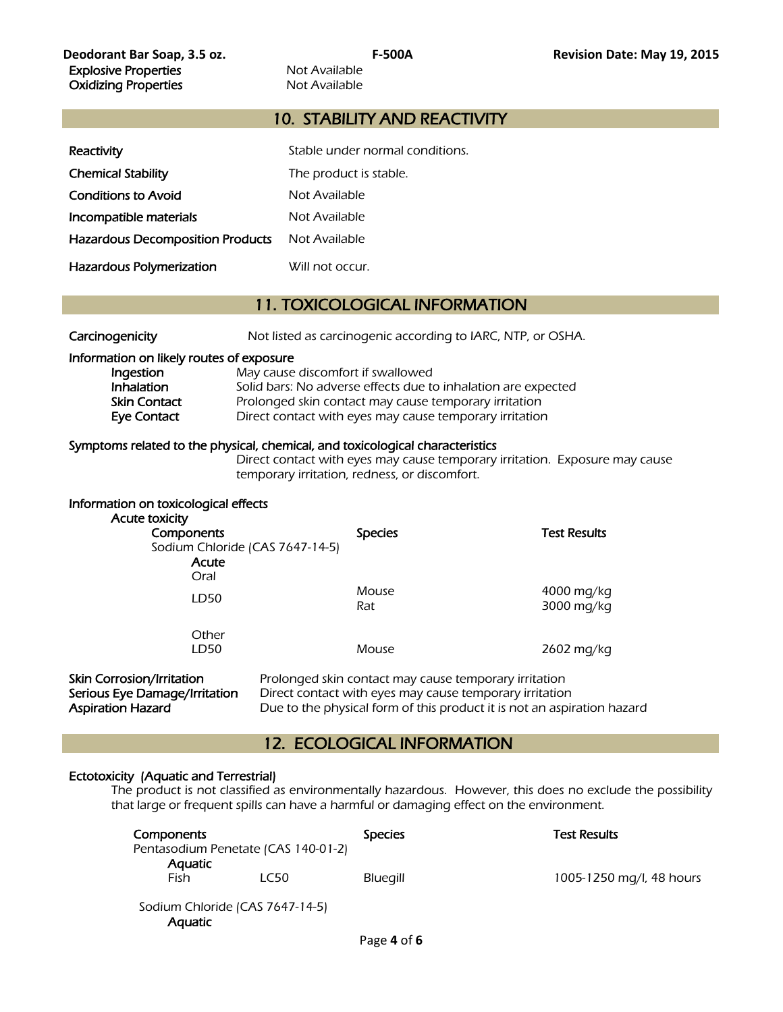### 10. STABILITY AND REACTIVITY

| Reactivity                              | Stable under normal conditions. |
|-----------------------------------------|---------------------------------|
| <b>Chemical Stability</b>               | The product is stable.          |
| <b>Conditions to Avoid</b>              | Not Available                   |
| Incompatible materials                  | Not Available                   |
| <b>Hazardous Decomposition Products</b> | Not Available                   |
| Hazardous Polymerization                | Will not occur.                 |

### 11. TOXICOLOGICAL INFORMATION

| Carcinogenicity |  |
|-----------------|--|
|                 |  |

Not listed as carcinogenic according to IARC, NTP, or OSHA.

### Information on likely routes of exposure

| Ingestion    | May cause discomfort if swallowed                             |
|--------------|---------------------------------------------------------------|
| Inhalation   | Solid bars: No adverse effects due to inhalation are expected |
| Skin Contact | Prolonged skin contact may cause temporary irritation         |
| Eve Contact  | Direct contact with eyes may cause temporary irritation       |

#### Symptoms related to the physical, chemical, and toxicological characteristics

 Direct contact with eyes may cause temporary irritation. Exposure may cause temporary irritation, redness, or discomfort.

| Information on toxicological effects<br>Acute toxicity<br>Components<br>Sodium Chloride (CAS 7647-14-5)<br>Acute | <b>Species</b>                                        | <b>Test Results</b>      |
|------------------------------------------------------------------------------------------------------------------|-------------------------------------------------------|--------------------------|
| Oral<br>LD50                                                                                                     | Mouse<br>Rat                                          | 4000 mg/kg<br>3000 mg/kg |
| Other<br>LD50                                                                                                    | Mouse                                                 | 2602 mg/kg               |
| Skin Corrosion/Irritation                                                                                        | Prolonged skin contact may cause temporary irritation |                          |

Serious Eye Damage/Irritation Direct contact with eyes may cause temporary irritation Aspiration Hazard **Due to the physical form of this product** it is not an aspiration hazard

### 12. ECOLOGICAL INFORMATION

### Ectotoxicity (Aquatic and Terrestrial)

The product is not classified as environmentally hazardous. However, this does no exclude the possibility that large or frequent spills can have a harmful or damaging effect on the environment.

| Components                          |                                 | <b>Species</b> | <b>Test Results</b>      |
|-------------------------------------|---------------------------------|----------------|--------------------------|
| Pentasodium Penetate (CAS 140-01-2) |                                 |                |                          |
| <b>Aquatic</b>                      |                                 |                |                          |
| Fish                                | LC50                            | Bluegill       | 1005-1250 mg/l, 48 hours |
| <b>Aquatic</b>                      | Sodium Chloride (CAS 7647-14-5) |                |                          |
|                                     |                                 |                |                          |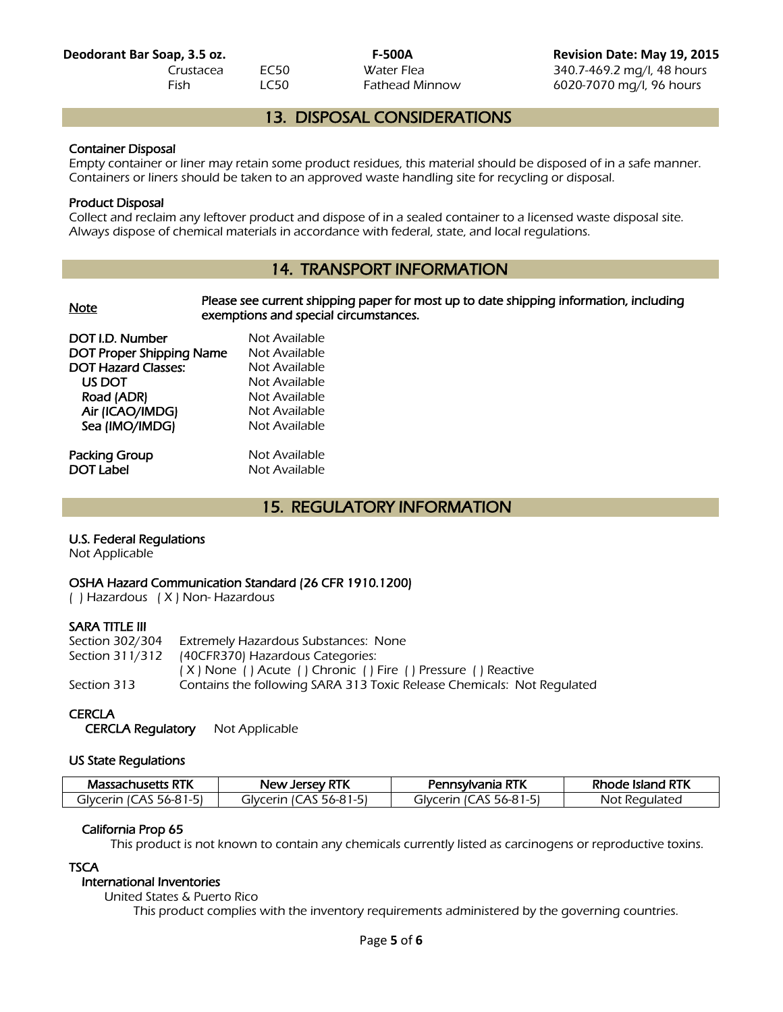**Deodorant Bar Soap, 3.5 oz. F-500A Revision Date: May 19, 2015** Crustacea EC50 Water Flea 340.7-469.2 mg/l, 48 hours Fish LC50 Fathead Minnow 6020-7070 mg/l, 96 hours

# 13. DISPOSAL CONSIDERATIONS

### Container Disposal

Empty container or liner may retain some product residues, this material should be disposed of in a safe manner. Containers or liners should be taken to an approved waste handling site for recycling or disposal.

### Product Disposal

Collect and reclaim any leftover product and dispose of in a sealed container to a licensed waste disposal site. Always dispose of chemical materials in accordance with federal, state, and local regulations.

# 14. TRANSPORT INFORMATION

| <b>Note</b>                | Please see current shipping paper for most up to date shipping information, including<br>exemptions and special circumstances. |
|----------------------------|--------------------------------------------------------------------------------------------------------------------------------|
| DOT I.D. Number            | Not Available                                                                                                                  |
| DOT Proper Shipping Name   | Not Available                                                                                                                  |
| <b>DOT Hazard Classes:</b> | Not Available                                                                                                                  |
| US DOT                     | Not Available                                                                                                                  |
| Road (ADR)                 | Not Available                                                                                                                  |
| Air (ICAO/IMDG)            | Not Available                                                                                                                  |
| Sea (IMO/IMDG)             | Not Available                                                                                                                  |
| Packing Group              | Not Available                                                                                                                  |
| <b>DOT Label</b>           | Not Available                                                                                                                  |

# 15. REGULATORY INFORMATION

### U.S. Federal Regulations

Not Applicable

### OSHA Hazard Communication Standard (26 CFR 1910.1200)

( ) Hazardous ( X ) Non- Hazardous

### SARA TITLE III

| Extremely Hazardous Substances: None                                   |
|------------------------------------------------------------------------|
| Section 311/312 (40CFR370) Hazardous Categories:                       |
| (X) None () Acute () Chronic () Fire () Pressure () Reactive           |
| Contains the following SARA 313 Toxic Release Chemicals: Not Regulated |
|                                                                        |

### **CERCLA**

CERCLA Regulatory Not Applicable

### US State Regulations

| setts RTK<br>Massach<br>rnusetts | <b>New Jersey RTK</b>               | Pennsylvania RTK                          | Island RTK<br>noae |
|----------------------------------|-------------------------------------|-------------------------------------------|--------------------|
| А'<br>ulvcerirـ<br>56-81-51      | ∙erır<br>٦lV<br>$\mathbf{A}$<br>המר | Arrr<br>٦lV<br>$\Delta \setminus$<br>א-חר | . Regulated<br>NOt |

### California Prop 65

This product is not known to contain any chemicals currently listed as carcinogens or reproductive toxins.

### **TSCA**

# International Inventories

United States & Puerto Rico

This product complies with the inventory requirements administered by the governing countries.